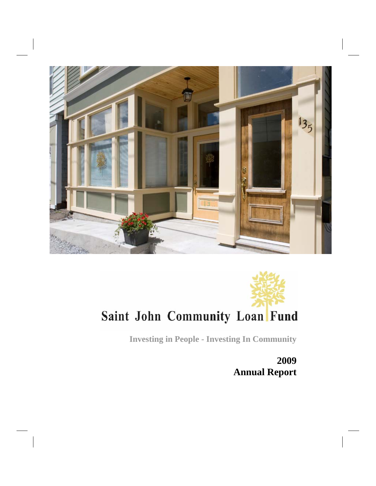



**Investing in People - Investing In Community**

**2009 Annual Report**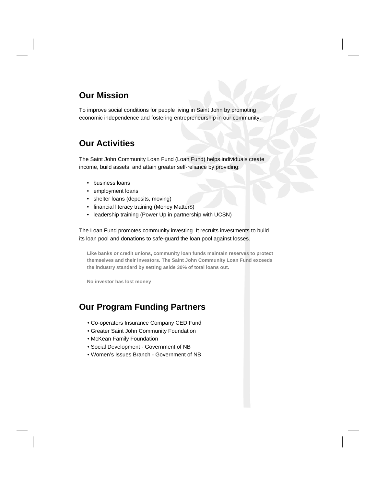### **Our Mission**

To improve social conditions for people living in Saint John by promoting economic independence and fostering entrepreneurship in our community.

### **Our Activities**

The Saint John Community Loan Fund (Loan Fund) helps individuals create income, build assets, and attain greater self-reliance by providing:

- business loans
- employment loans
- shelter loans (deposits, moving)
- financial literacy training (Money Matter\$)
- leadership training (Power Up in partnership with UCSN)

The Loan Fund promotes community investing. It recruits investments to build its loan pool and donations to safe-guard the loan pool against losses.

**Like banks or credit unions, community loan funds maintain reserves to protect themselves and their investors. The Saint John Community Loan Fund exceeds the industry standard by setting aside 30% of total loans out.** 

**No investor has lost money**

### **Our Program Funding Partners**

- Co-operators Insurance Company CED Fund
- Greater Saint John Community Foundation
- McKean Family Foundation
- Social Development Government of NB
- Women's Issues Branch Government of NB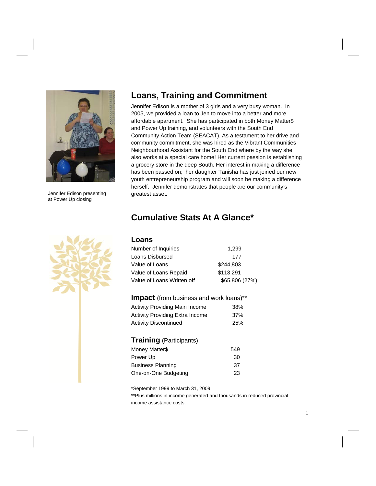

Jennifer Edison presenting at Power Up closing

### **Loans, Training and Commitment**

Jennifer Edison is a mother of 3 girls and a very busy woman. In 2005, we provided a loan to Jen to move into a better and more affordable apartment. She has participated in both Money Matter\$ and Power Up training, and volunteers with the South End Community Action Team (SEACAT). As a testament to her drive and community commitment, she was hired as the Vibrant Communities Neighbourhood Assistant for the South End where by the way she also works at a special care home! Her current passion is establishing a grocery store in the deep South. Her interest in making a difference has been passed on; her daughter Tanisha has just joined our new youth entrepreneurship program and will soon be making a difference herself. Jennifer demonstrates that people are our community's greatest asset.

### **Cumulative Stats At A Glance\***

#### **Loans**

| Number of Inquiries        | 1.299          |
|----------------------------|----------------|
| Loans Disbursed            | 177            |
| Value of Loans             | \$244.803      |
| Value of Loans Repaid      | \$113,291      |
| Value of Loans Written off | \$65,806 (27%) |

| <b>Impact</b> (from business and work loans)** |     |  |  |
|------------------------------------------------|-----|--|--|
| <b>Activity Providing Main Income</b>          | 38% |  |  |
| <b>Activity Providing Extra Income</b>         | 37% |  |  |
| <b>Activity Discontinued</b>                   | 25% |  |  |

#### **Training** (Participants)

| Money Matter\$           | 549 |
|--------------------------|-----|
| Power Up                 | 30  |
| <b>Business Planning</b> | 37  |
| One-on-One Budgeting     | 23  |

\*September 1999 to March 31, 2009

\*\*Plus millions in income generated and thousands in reduced provincial income assistance costs.

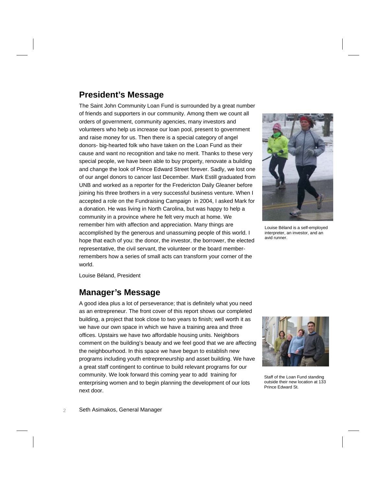### **President's Message**

The Saint John Community Loan Fund is surrounded by a great number of friends and supporters in our community. Among them we count all orders of government, community agencies, many investors and volunteers who help us increase our loan pool, present to government and raise money for us. Then there is a special category of angel donors- big-hearted folk who have taken on the Loan Fund as their cause and want no recognition and take no merit. Thanks to these very special people, we have been able to buy property, renovate a building and change the look of Prince Edward Street forever. Sadly, we lost one of our angel donors to cancer last December. Mark Estill graduated from UNB and worked as a reporter for the Fredericton Daily Gleaner before joining his three brothers in a very successful business venture. When I accepted a role on the Fundraising Campaign in 2004, I asked Mark for a donation. He was living in North Carolina, but was happy to help a community in a province where he felt very much at home. We remember him with affection and appreciation. Many things are accomplished by the generous and unassuming people of this world. I hope that each of you: the donor, the investor, the borrower, the elected representative, the civil servant, the volunteer or the board memberremembers how a series of small acts can transform your corner of the world.



Louise Béland is a self-employed interpreter, an investor, and an avid runner.

Louise Béland, President

### **Manager's Message**

A good idea plus a lot of perseverance; that is definitely what you need as an entrepreneur. The front cover of this report shows our completed building, a project that took close to two years to finish; well worth it as we have our own space in which we have a training area and three offices. Upstairs we have two affordable housing units. Neighbors comment on the building's beauty and we feel good that we are affecting the neighbourhood. In this space we have begun to establish new programs including youth entrepreneurship and asset building. We have a great staff contingent to continue to build relevant programs for our community. We look forward this coming year to add training for enterprising women and to begin planning the development of our lots next door.



Staff of the Loan Fund standing outside their new location at 133 Prince Edward St.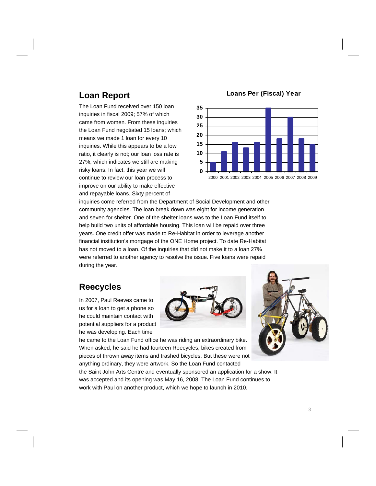### **Loan Report**

The Loan Fund received over 150 loan inquiries in fiscal 2009; 57% of which came from women. From these inquiries the Loan Fund negotiated 15 loans; which means we made 1 loan for every 10 inquiries. While this appears to be a low ratio, it clearly is not; our loan loss rate is 27%, which indicates we still are making risky loans. In fact, this year we will continue to review our loan process to improve on our ability to make effective and repayable loans. Sixty percent of

#### **Loans Per (Fiscal) Year**



inquiries come referred from the Department of Social Development and other community agencies. The loan break down was eight for income generation and seven for shelter. One of the shelter loans was to the Loan Fund itself to help build two units of affordable housing. This loan will be repaid over three years. One credit offer was made to Re-Habitat in order to leverage another financial institution's mortgage of the ONE Home project. To date Re-Habitat has not moved to a loan. Of the inquiries that did not make it to a loan 27% were referred to another agency to resolve the issue. Five loans were repaid during the year.

### **Reecycles**

In 2007, Paul Reeves came to us for a loan to get a phone so he could maintain contact with potential suppliers for a product he was developing. Each time



he came to the Loan Fund office he was riding an extraordinary bike. When asked, he said he had fourteen Reecycles, bikes created from pieces of thrown away items and trashed bicycles. But these were not anything ordinary, they were artwork. So the Loan Fund contacted



the Saint John Arts Centre and eventually sponsored an application for a show. It was accepted and its opening was May 16, 2008. The Loan Fund continues to work with Paul on another product, which we hope to launch in 2010.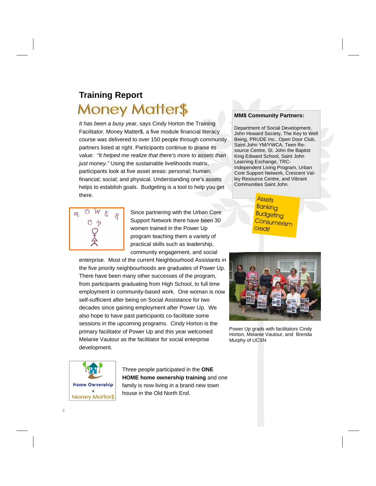# **Training Report**  Money Matter\$

*It has been a busy year*, says Cindy Horton the Training Facilitator. Money Matter\$, a five module financial literacy course was delivered to over 150 people through community partners listed at right. Participants continue to praise its value: *"It helped me realize that there's more to assets than just money."* Using the sustainable livelihoods matrix, participants look at five asset areas: personal; human; financial; social; and physical. Understanding one's assets helps to establish goals. Budgeting is a tool to help you get there.



Since partnering with the Urban Core Support Network there have been 30 women trained in the Power Up program teaching them a variety of practical skills such as leadership, community engagement, and social

enterprise. Most of the current Neighbourhood Assistants in the five priority neighbourhoods are graduates of Power Up. There have been many other successes of the program, from participants graduating from High School, to full time employment in community-based work. One woman is now self-sufficient after being on Social Assistance for two decades since gaining employment after Power Up. We also hope to have past participants co-facilitate some sessions in the upcoming programs. Cindy Horton is the primary facilitator of Power Up and this year welcomed Melanie Vautour as the facilitator for social enterprise development.



Three people participated in the **ONE HOME home ownership training** and one family is now living in a brand new town house in the Old North End.

#### **MM\$ Community Partners:**

Department of Social Development, John Howard Society, The Key to Well Being, PRUDE Inc., Open Door Club, Saint John YM/YWCA, Teen Resource Centre, St. John the Baptist King Edward School, Saint John Learning Exchange, TRC-Independent Living Program, Urban Core Support Network, Crescent Valley Resource Centre, and Vibrant Communities Saint John.

> **Assets** Banking Budgeting **Consumerism** credit



Power Up grads with facilitators Cindy Horton, Melanie Vautour, and Brenda Murphy of UCSN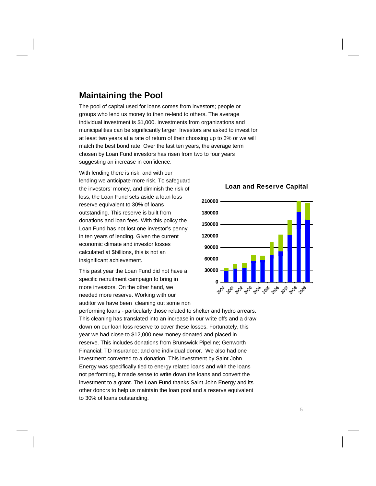### **Maintaining the Pool**

The pool of capital used for loans comes from investors; people or groups who lend us money to then re-lend to others. The average individual investment is \$1,000. Investments from organizations and municipalities can be significantly larger. Investors are asked to invest for at least two years at a rate of return of their choosing up to 3% or we will match the best bond rate. Over the last ten years, the average term chosen by Loan Fund investors has risen from two to four years suggesting an increase in confidence.

With lending there is risk, and with our lending we anticipate more risk. To safeguard the investors' money, and diminish the risk of loss, the Loan Fund sets aside a loan loss reserve equivalent to 30% of loans outstanding. This reserve is built from donations and loan fees. With this policy the Loan Fund has not lost one investor's penny in ten years of lending. Given the current economic climate and investor losses calculated at \$billions, this is not an insignificant achievement.

This past year the Loan Fund did not have a specific recruitment campaign to bring in more investors. On the other hand, we needed more reserve. Working with our auditor we have been cleaning out some non

performing loans - particularly those related to shelter and hydro arrears. This cleaning has translated into an increase in our write offs and a draw down on our loan loss reserve to cover these losses. Fortunately, this year we had close to \$12,000 new money donated and placed in reserve. This includes donations from Brunswick Pipeline; Genworth Financial; TD Insurance; and one individual donor. We also had one investment converted to a donation. This investment by Saint John Energy was specifically tied to energy related loans and with the loans not performing, it made sense to write down the loans and convert the investment to a grant. The Loan Fund thanks Saint John Energy and its other donors to help us maintain the loan pool and a reserve equivalent to 30% of loans outstanding.

**Loan and Reserve Capital** 

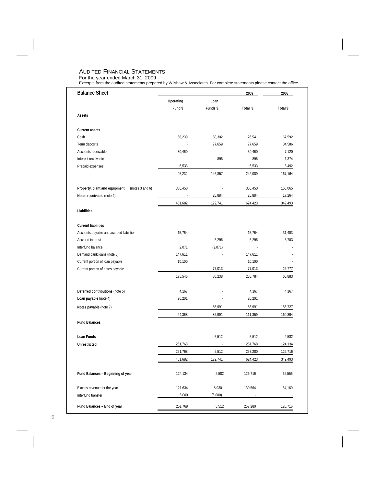#### AUDITED FINANCIAL STATEMENTS

For the year ended March 31, 2009 Excerpts from the audited statements prepared by Wilshaw & Associates. For complete statements please contact the office.

| <b>Balance Sheet</b>                             |           |          | 2009     | 2008     |
|--------------------------------------------------|-----------|----------|----------|----------|
|                                                  | Operating | Loan     |          |          |
|                                                  | Fund \$   | Funds \$ | Total \$ | Total \$ |
| Assets                                           |           |          |          |          |
| <b>Current assets</b>                            |           |          |          |          |
| Cash                                             | 58,239    | 68,302   | 126,541  | 67,592   |
| Term deposits                                    |           | 77,659   | 77,659   | 84,586   |
| Accounts receivable                              | 30,460    |          | 30,460   | 7,120    |
| Interest receivable                              |           | 896      | 896      | 1,374    |
| Prepaid expenses                                 | 6,533     | ÷,       | 6,533    | 6,492    |
|                                                  | 95,232    | 146,857  | 242,089  | 167,164  |
| Property, plant and equipment<br>(notes 3 and 6) | 356,450   |          | 356,450  | 165,065  |
| Notes receivable (note 4)                        |           | 25,884   | 25,884   | 17,264   |
|                                                  | 451,682   | 172,741  | 624,423  | 349,493  |
| Liabilities                                      |           |          |          |          |
| <b>Current liabilities</b>                       |           |          |          |          |
| Accounts payable and accrued liabilities         | 15,764    | ÷,       | 15,764   | 31,403   |
| <b>Accrued interest</b>                          | $\sim$    | 5,296    | 5,296    | 3,703    |
| Interfund balance                                | 2,071     | (2,071)  |          |          |
| Demand bank loans (note 6)                       | 147,611   |          | 147,611  |          |
| Current portion of loan payable                  | 10,100    |          | 10,100   |          |
| Current portion of notes payable                 |           | 77,013   | 77,013   | 26,777   |
|                                                  | 175,546   | 80,238   | 255,784  | 60,883   |
| Deferred contributions (note 5)                  | 4,167     |          | 4,167    | 4,167    |
| Loan payable (note 4)                            | 20,201    |          | 20,201   |          |
| Notes payable (note 7)                           | L,        | 86,991   | 86,991   | 156,727  |
|                                                  | 24,368    | 86,991   | 111,359  | 160,894  |
| <b>Fund Balances</b>                             |           |          |          |          |
| Loan Funds                                       |           | 5,512    | 5,512    | 2,582    |
| <b>Unrestricted</b>                              | 251,768   | L.       | 251,768  | 124,134  |
|                                                  | 251,768   | 5,512    | 257,280  | 126,716  |
|                                                  | 451,682   | 172,741  | 624,423  | 349,493  |
| Fund Balances - Beginning of year                | 124,134   | 2,582    | 126,716  | 62,556   |
| Excess revenue for the year                      | 121,634   | 8,930    | 130,564  | 64,160   |
| Interfund transfer                               | 6,000     | (6,000)  |          |          |
| Fund Balances - End of year                      | 251,768   | 5,512    | 257,280  | 126,716  |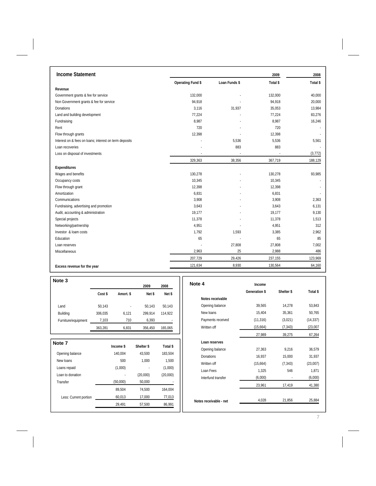| <b>Income Statement</b>                                |                   |               | 2009     | 2008     |
|--------------------------------------------------------|-------------------|---------------|----------|----------|
|                                                        | Operating Fund \$ | Loan Funds \$ | Total \$ | Total \$ |
| Revenue                                                |                   |               |          |          |
| Government grants & fee for service                    | 132,000           |               | 132,000  | 40,000   |
| Non Government grants & fee for service                | 94,918            |               | 94,918   | 20,000   |
| Donations                                              | 3.116             | 31,937        | 35,053   | 13,984   |
| Land and building development                          | 77,224            |               | 77,224   | 83,276   |
| Fundraising                                            | 8.987             |               | 8,987    | 16,246   |
| Rent                                                   | 720               |               | 720      |          |
| Flow through grants                                    | 12,398            |               | 12,398   |          |
| Interest on & fees on loans; interest on term deposits |                   | 5,536         | 5,536    | 5,561    |
| Loan recoveries                                        |                   | 883           | 883      |          |
| Loss on disposal of investments                        |                   |               |          | (3, 772) |
|                                                        | 329,363           | 38,356        | 367,719  | 188,129  |
| Expenditures                                           |                   |               |          |          |
| Wages and benefits                                     | 130,278           |               | 130,278  | 93,985   |
| Occupancy costs                                        | 10,345            |               | 10,345   |          |
| Flow through grant                                     | 12,398            |               | 12,398   |          |
| Amortization                                           | 6,831             |               | 6,831    |          |
| Communications                                         | 3.908             |               | 3,908    | 2,363    |
| Fundraising, advertising and promotion                 | 3.643             |               | 3,643    | 6,131    |
| Audit, accounting & administration                     | 19,177            |               | 19,177   | 9,130    |
| Special projects                                       | 11,378            |               | 11,378   | 1,513    |
| Networking/partnership                                 | 4,951             |               | 4,951    | 312      |
| Investor & loam costs                                  | 1,792             | 1,593         | 3,385    | 2,962    |
| Education                                              | 65                |               | 65       | 85       |
| Loan reserves                                          |                   | 27,808        | 27,808   | 7,002    |
| Miscellaneous                                          | 2,963             | 25            | 2,988    | 486      |
|                                                        | 207,729           | 29,426        | 237,155  | 123,969  |
| Excess revenue for the year                            | 121,634           | 8,930         | 130,564  | 64,160   |

| Note 3              |         |           | 2009       | 2008     | Note 4 |
|---------------------|---------|-----------|------------|----------|--------|
|                     | Cost \$ | Amort. \$ | Net \$     | Net \$   |        |
|                     |         |           |            |          |        |
| Land                | 50,143  |           | 50,143     | 50,143   |        |
| Building            | 306,035 | 6,121     | 299,914    | 114,922  |        |
| Furniture/equipment | 7,103   | 710       | 6,393      |          |        |
|                     | 363.281 | 6.831     | 356.450    | 165.065  |        |
| Note 7              |         | Income \$ | Shelter \$ | Total \$ |        |
| Opening balance     |         | 140,004   | 43,500     | 183,504  |        |
| New loans           |         | 500       | 1,000      | 1,500    |        |
| Loans repaid        |         | (1,000)   |            | (1,000)  |        |

Loan to donation (20,000) (20,000) (20,000)

Less: Current portion 60,013 17,000 77,013

89,504 74,500 164,004

29,491 57,500 86,991

Transfer (50,000) 50,000

| Note 4                 | Income               |            |           |
|------------------------|----------------------|------------|-----------|
|                        | <b>Generation \$</b> | Shelter \$ | Total \$  |
| Notes receivable       |                      |            |           |
| Opening balance        | 39,565               | 14,278     | 53,843    |
| New loans              | 15,404               | 35,361     | 50,765    |
| Payments received      | (11, 316)            | (3,021)    | (14, 337) |
| Written off            | (15,664)             | (7, 343)   | (23,007)  |
|                        | 27,989               | 39,275     | 67,264    |
| Loan reserves          |                      |            |           |
| Opening balance        | 27,363               | 9,216      | 36,579    |
| Donations              | 16,937               | 15,000     | 31,937    |
| Written off            | (15,664)             | (7, 343)   | (23,007)  |
| Loan Fees              | 1,325                | 546        | 1,871     |
| Interfund transfer     | (6,000)              |            | (6,000)   |
|                        | 23,961               | 17,419     | 41,380    |
| Notes receivable - net | 4,028                | 21,856     | 25,884    |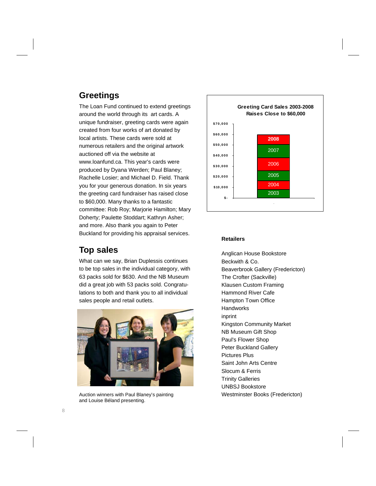### **Greetings**

The Loan Fund continued to extend greetings around the world through its art cards. A unique fundraiser, greeting cards were again created from four works of art donated by local artists. These cards were sold at numerous retailers and the original artwork auctioned off via the website at www.loanfund.ca. This year's cards were produced by Dyana Werden; Paul Blaney; Rachelle Losier; and Michael D. Field. Thank you for your generous donation. In six years the greeting card fundraiser has raised close to \$60,000. Many thanks to a fantastic committee: Rob Roy; Marjorie Hamilton; Mary Doherty; Paulette Stoddart; Kathryn Asher; and more. Also thank you again to Peter Buckland for providing his appraisal services.

### **Top sales**

What can we say, Brian Duplessis continues to be top sales in the individual category, with 63 packs sold for \$630. And the NB Museum did a great job with 53 packs sold. Congratulations to both and thank you to all individual sales people and retail outlets.



Auction winners with Paul Blaney's painting and Louise Béland presenting.



#### **Retailers**

Anglican House Bookstore Beckwith & Co. Beaverbrook Gallery (Fredericton) Klausen Custom Framing Hammond River Cafe Hampton Town Office **Handworks** inprint Kingston Community Market NB Museum Gift Shop Paul's Flower Shop Peter Buckland Gallery Pictures Plus Saint John Arts Centre Slocum & Ferris Trinity Galleries UNBSJ Bookstore Westminster Books (Fredericton) The Crofter (Sackville)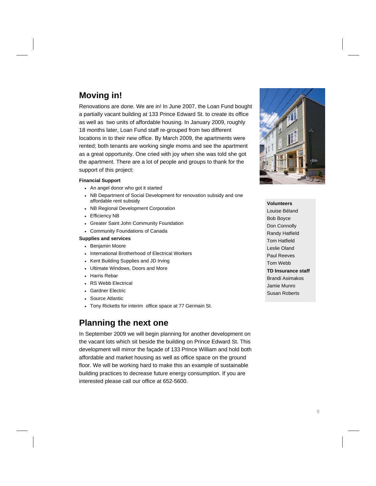## **Moving in!**

Renovations are done. We are in! In June 2007, the Loan Fund bought a partially vacant building at 133 Prince Edward St. to create its office as well as two units of affordable housing. In January 2009, roughly 18 months later, Loan Fund staff re-grouped from two different locations in to their new office. By March 2009, the apartments were rented; both tenants are working single moms and see the apartment as a great opportunity. One cried with joy when she was told she got the apartment. There are a lot of people and groups to thank for the support of this project:

#### **Financial Support**

- An angel donor who got it started
- NB Department of Social Development for renovation subsidy and one affordable rent subsidy
- NB Regional Development Corporation
- Efficiency NB
- Greater Saint John Community Foundation
- Community Foundations of Canada

#### **Supplies and services**

- Benjamin Moore
- International Brotherhood of Electrical Workers
- Kent Building Supplies and JD Irving
- Ultimate Windows, Doors and More
- Harris Rebar
- RS Webb Electrical
- Gardner Electric
- Source Atlantic
- Tony Ricketts for interim office space at 77 Germain St.

### **Planning the next one**

In September 2009 we will begin planning for another development on the vacant lots which sit beside the building on Prince Edward St. This development will mirror the façade of 133 Prince William and hold both affordable and market housing as well as office space on the ground floor. We will be working hard to make this an example of sustainable building practices to decrease future energy consumption. If you are interested please call our office at 652-5600.



**Volunteers**  Louise Béland Bob Boyce Don Connolly Randy Hatfield Tom Hatfield Leslie Oland Paul Reeves Tom Webb **TD Insurance staff**  Brandi Asimakos Jamie Munro Susan Roberts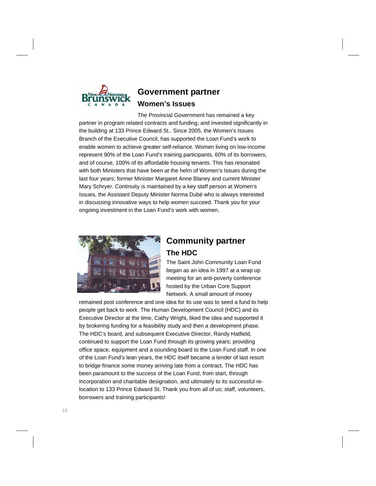

### **Government partner Women's Issues**

The Provincial Government has remained a key partner in program related contracts and funding; and invested significantly in the building at 133 Prince Edward St.. Since 2005, the Women's Issues Branch of the Executive Council, has supported the Loan Fund's work to enable women to achieve greater self-reliance. Women living on low-income represent 90% of the Loan Fund's training participants, 60% of its borrowers, and of course, 100% of its affordable housing tenants. This has resonated with both Ministers that have been at the helm of Women's Issues during the last four years; former Minister Margaret Anne Blaney and current Minister Mary Schryer. Continuity is maintained by a key staff person at Women's Issues, the Assistant Deputy Minister Norma Dubé who is always interested in discussing innovative ways to help women succeed. Thank you for your ongoing investment in the Loan Fund's work with women.



### **Community partner The HDC**

The Saint John Community Loan Fund began as an idea in 1997 at a wrap up meeting for an anti-poverty conference hosted by the Urban Core Support Network. A small amount of money

remained post conference and one idea for its use was to seed a fund to help people get back to work. The Human Development Council (HDC) and its Executive Director at the time, Cathy Wright, liked the idea and supported it by brokering funding for a feasibility study and then a development phase. The HDC's board, and subsequent Executive Director, Randy Hatfield, continued to support the Loan Fund through its growing years; providing office space, equipment and a sounding board to the Loan Fund staff. In one of the Loan Fund's lean years, the HDC itself became a lender of last resort to bridge finance some money arriving late from a contract. The HDC has been paramount to the success of the Loan Fund, from start, through incorporation and charitable designation, and ultimately to its successful relocation to 133 Prince Edward St. Thank you from all of us; staff, volunteers, borrowers and training participants!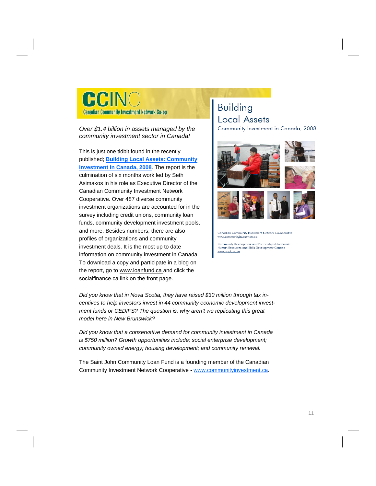CCIN **Canadian Community Investment Network Co-op** 

#### *Over \$1.4 billion in assets managed by the community investment sector in Canada!*

This is just one tidbit found in the recently published; **Building Local Assets: Community Investment in Canada, 2008**. The report is the culmination of six months work led by Seth Asimakos in his role as Executive Director of the Canadian Community Investment Network Cooperative. Over 487 diverse community investment organizations are accounted for in the survey including credit unions, community loan funds, community development investment pools, and more. Besides numbers, there are also profiles of organizations and community investment deals. It is the most up to date information on community investment in Canada. To download a copy and participate in a blog on the report, go to www.loanfund.ca and click the socialfinance.ca link on the front page.

# **Building Local Assets**

Community Investment in Canada, 2008



Canadian Community Investment Network Co-operative www.communitvinvestment.ca

Community Development and Partnerships Directorate Human Resources and Skills Development Canada www.hrsdc.gc.ca

*Did you know that in Nova Scotia, they have raised \$30 million through tax incentives to help investors invest in 44 community economic development investment funds or CEDIFS? The question is, why aren't we replicating this great model here in New Brunswick?* 

*Did you know that a conservative demand for community investment in Canada is \$750 million? Growth opportunities include; social enterprise development; community owned energy; housing development; and community renewal.* 

The Saint John Community Loan Fund is a founding member of the Canadian Community Investment Network Cooperative - www.communityinvestment.ca.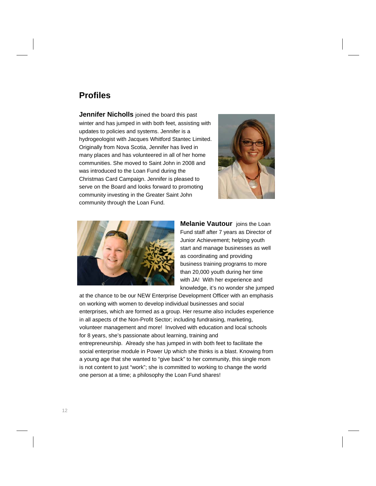### **Profiles**

**Jennifer Nicholls** joined the board this past winter and has jumped in with both feet, assisting with updates to policies and systems. Jennifer is a hydrogeologist with Jacques Whitford Stantec Limited. Originally from Nova Scotia, Jennifer has lived in many places and has volunteered in all of her home communities. She moved to Saint John in 2008 and was introduced to the Loan Fund during the Christmas Card Campaign. Jennifer is pleased to serve on the Board and looks forward to promoting community investing in the Greater Saint John community through the Loan Fund.





**Melanie Vautour** joins the Loan Fund staff after 7 years as Director of Junior Achievement; helping youth start and manage businesses as well as coordinating and providing business training programs to more than 20,000 youth during her time with JA! With her experience and knowledge, it's no wonder she jumped

at the chance to be our NEW Enterprise Development Officer with an emphasis on working with women to develop individual businesses and social enterprises, which are formed as a group. Her resume also includes experience in all aspects of the Non-Profit Sector; including fundraising, marketing, volunteer management and more! Involved with education and local schools for 8 years, she's passionate about learning, training and entrepreneurship. Already she has jumped in with both feet to facilitate the social enterprise module in Power Up which she thinks is a blast. Knowing from a young age that she wanted to "give back" to her community, this single mom is not content to just "work"; she is committed to working to change the world one person at a time; a philosophy the Loan Fund shares!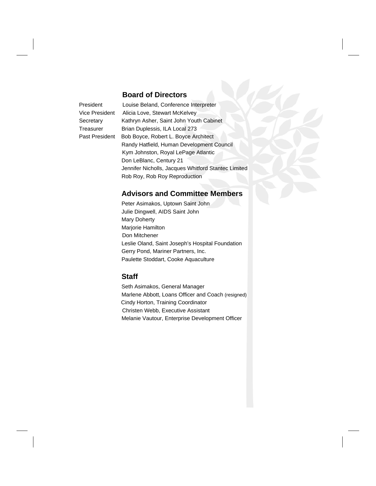#### **Board of Directors**

President Louise Beland, Conference Interpreter Vice President Alicia Love, Stewart McKelvey Secretary Kathryn Asher, Saint John Youth Cabinet Treasurer Brian Duplessis, ILA Local 273 Past President Bob Boyce, Robert L. Boyce Architect Randy Hatfield, Human Development Council Kym Johnston, Royal LePage Atlantic Don LeBlanc, Century 21 Jennifer Nicholls, Jacques Whitford Stantec Limited Rob Roy, Rob Roy Reproduction

#### **Advisors and Committee Members**

 Peter Asimakos, Uptown Saint John Julie Dingwell, AIDS Saint John Mary Doherty Marjorie Hamilton Don Mitchener Leslie Oland, Saint Joseph's Hospital Foundation Gerry Pond, Mariner Partners, Inc. Paulette Stoddart, Cooke Aquaculture

#### **Staff**

Seth Asimakos, General Manager Marlene Abbott, Loans Officer and Coach (resigned) Cindy Horton, Training Coordinator Christen Webb, Executive Assistant Melanie Vautour, Enterprise Development Officer